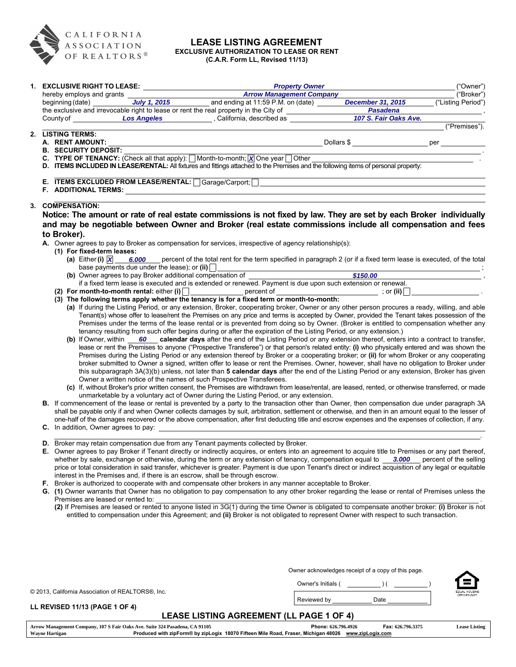

# LEASE LISTING AGREEMENT EXCLUSIVE AUTHORIZATION TO LEASE OR RENT

(C.A.R. Form LL, Revised 11/13)

|                                                                                                                                                                                                                                                                                       |                                                                                                                                                                   |                                                                                                                                                                                                                                                                                            |                                                                                                                      | ("Owner")<br>("Broker") |  |
|---------------------------------------------------------------------------------------------------------------------------------------------------------------------------------------------------------------------------------------------------------------------------------------|-------------------------------------------------------------------------------------------------------------------------------------------------------------------|--------------------------------------------------------------------------------------------------------------------------------------------------------------------------------------------------------------------------------------------------------------------------------------------|----------------------------------------------------------------------------------------------------------------------|-------------------------|--|
|                                                                                                                                                                                                                                                                                       |                                                                                                                                                                   |                                                                                                                                                                                                                                                                                            | December 31, 2015 ("Listing Period")                                                                                 |                         |  |
|                                                                                                                                                                                                                                                                                       |                                                                                                                                                                   | the exclusive and irrevocable right to lease or rent the real property in the City of                                                                                                                                                                                                      |                                                                                                                      | Pasadena Pasadena       |  |
|                                                                                                                                                                                                                                                                                       |                                                                                                                                                                   | County of Los Angeles County of California, described as The Mary S. Fair Oaks Ave.                                                                                                                                                                                                        |                                                                                                                      |                         |  |
|                                                                                                                                                                                                                                                                                       |                                                                                                                                                                   |                                                                                                                                                                                                                                                                                            |                                                                                                                      | ("Premises").           |  |
|                                                                                                                                                                                                                                                                                       | 2. LISTING TERMS:<br>A. RENT AMOUNT:                                                                                                                              |                                                                                                                                                                                                                                                                                            |                                                                                                                      |                         |  |
|                                                                                                                                                                                                                                                                                       | <b>B. SECURITY DEPOSIT:</b>                                                                                                                                       |                                                                                                                                                                                                                                                                                            |                                                                                                                      |                         |  |
|                                                                                                                                                                                                                                                                                       | C. TYPE OF TENANCY: (Check all that apply): $\sqrt{\frac{M_{\text{other}}}{N}}$ Month-to-month; $\sqrt{\frac{M}{N}}$ One year $\sqrt{\frac{M_{\text{other}}}{N}}$ |                                                                                                                                                                                                                                                                                            |                                                                                                                      |                         |  |
|                                                                                                                                                                                                                                                                                       |                                                                                                                                                                   | D. ITEMS INCLUDED IN LEASE/RENTAL: All fixtures and fittings attached to the Premises and the following items of personal property:                                                                                                                                                        |                                                                                                                      |                         |  |
|                                                                                                                                                                                                                                                                                       |                                                                                                                                                                   |                                                                                                                                                                                                                                                                                            | <u> 1989 - Johann John Stein, markin fan it ferstjer fan de ferstjer fan it ferstjer fan de ferstjer fan it fers</u> |                         |  |
|                                                                                                                                                                                                                                                                                       |                                                                                                                                                                   |                                                                                                                                                                                                                                                                                            |                                                                                                                      |                         |  |
|                                                                                                                                                                                                                                                                                       |                                                                                                                                                                   |                                                                                                                                                                                                                                                                                            |                                                                                                                      |                         |  |
|                                                                                                                                                                                                                                                                                       | 3. COMPENSATION:                                                                                                                                                  |                                                                                                                                                                                                                                                                                            |                                                                                                                      |                         |  |
|                                                                                                                                                                                                                                                                                       |                                                                                                                                                                   |                                                                                                                                                                                                                                                                                            |                                                                                                                      |                         |  |
|                                                                                                                                                                                                                                                                                       |                                                                                                                                                                   | Notice: The amount or rate of real estate commissions is not fixed by law. They are set by each Broker individually                                                                                                                                                                        |                                                                                                                      |                         |  |
|                                                                                                                                                                                                                                                                                       |                                                                                                                                                                   | and may be negotiable between Owner and Broker (real estate commissions include all compensation and fees                                                                                                                                                                                  |                                                                                                                      |                         |  |
|                                                                                                                                                                                                                                                                                       | to Broker).                                                                                                                                                       |                                                                                                                                                                                                                                                                                            |                                                                                                                      |                         |  |
|                                                                                                                                                                                                                                                                                       |                                                                                                                                                                   | A. Owner agrees to pay to Broker as compensation for services, irrespective of agency relationship(s):                                                                                                                                                                                     |                                                                                                                      |                         |  |
|                                                                                                                                                                                                                                                                                       | (1) For fixed-term leases:                                                                                                                                        |                                                                                                                                                                                                                                                                                            |                                                                                                                      |                         |  |
|                                                                                                                                                                                                                                                                                       | (a) Either (i) $\overline{X}$                                                                                                                                     | 6.000 percent of the total rent for the term specified in paragraph 2 (or if a fixed term lease is executed, of the total                                                                                                                                                                  |                                                                                                                      |                         |  |
|                                                                                                                                                                                                                                                                                       | base payments due under the lease); or (ii)                                                                                                                       | <u> 1980 - Johann Barn, mars eta bainar eta baina eta baina eta baina eta baina eta baina eta baina eta baina e</u>                                                                                                                                                                        |                                                                                                                      |                         |  |
|                                                                                                                                                                                                                                                                                       | (b) Owner agrees to pay Broker additional compensation of                                                                                                         |                                                                                                                                                                                                                                                                                            | \$150.00                                                                                                             |                         |  |
|                                                                                                                                                                                                                                                                                       |                                                                                                                                                                   | if a fixed term lease is executed and is extended or renewed. Payment is due upon such extension or renewal.                                                                                                                                                                               |                                                                                                                      |                         |  |
|                                                                                                                                                                                                                                                                                       | (2) For month-to-month rental: either (i) $\Box$ __________________ percent of _                                                                                  |                                                                                                                                                                                                                                                                                            |                                                                                                                      |                         |  |
|                                                                                                                                                                                                                                                                                       |                                                                                                                                                                   | (3) The following terms apply whether the tenancy is for a fixed term or month-to-month:                                                                                                                                                                                                   |                                                                                                                      |                         |  |
|                                                                                                                                                                                                                                                                                       |                                                                                                                                                                   | (a) If during the Listing Period, or any extension, Broker, cooperating broker, Owner or any other person procures a ready, willing, and able                                                                                                                                              |                                                                                                                      |                         |  |
|                                                                                                                                                                                                                                                                                       |                                                                                                                                                                   | Tenant(s) whose offer to lease/rent the Premises on any price and terms is accepted by Owner, provided the Tenant takes possession of the                                                                                                                                                  |                                                                                                                      |                         |  |
|                                                                                                                                                                                                                                                                                       |                                                                                                                                                                   | Premises under the terms of the lease rental or is prevented from doing so by Owner. (Broker is entitled to compensation whether any                                                                                                                                                       |                                                                                                                      |                         |  |
|                                                                                                                                                                                                                                                                                       |                                                                                                                                                                   | tenancy resulting from such offer begins during or after the expiration of the Listing Period, or any extension.)                                                                                                                                                                          |                                                                                                                      |                         |  |
|                                                                                                                                                                                                                                                                                       |                                                                                                                                                                   | (b) If Owner, within 60 calendar days after the end of the Listing Period or any extension thereof, enters into a contract to transfer,                                                                                                                                                    |                                                                                                                      |                         |  |
|                                                                                                                                                                                                                                                                                       |                                                                                                                                                                   | lease or rent the Premises to anyone ("Prospective Transferee") or that person's related entity: (i) who physically entered and was shown the<br>Premises during the Listing Period or any extension thereof by Broker or a cooperating broker; or (ii) for whom Broker or any cooperating |                                                                                                                      |                         |  |
|                                                                                                                                                                                                                                                                                       |                                                                                                                                                                   |                                                                                                                                                                                                                                                                                            |                                                                                                                      |                         |  |
| broker submitted to Owner a signed, written offer to lease or rent the Premises. Owner, however, shall have no obligation to Broker under<br>this subparagraph 3A(3)(b) unless, not later than 5 calendar days after the end of the Listing Period or any extension, Broker has given |                                                                                                                                                                   |                                                                                                                                                                                                                                                                                            |                                                                                                                      |                         |  |
|                                                                                                                                                                                                                                                                                       | Owner a written notice of the names of such Prospective Transferees.                                                                                              |                                                                                                                                                                                                                                                                                            |                                                                                                                      |                         |  |
|                                                                                                                                                                                                                                                                                       |                                                                                                                                                                   | (c) If, without Broker's prior written consent, the Premises are withdrawn from lease/rental, are leased, rented, or otherwise transferred, or made                                                                                                                                        |                                                                                                                      |                         |  |
|                                                                                                                                                                                                                                                                                       |                                                                                                                                                                   | unmarketable by a voluntary act of Owner during the Listing Period, or any extension.                                                                                                                                                                                                      |                                                                                                                      |                         |  |
|                                                                                                                                                                                                                                                                                       |                                                                                                                                                                   | <b>B.</b> If commencement of the lease or rental is prevented by a party to the transaction other than Owner, then compensation due under paragraph 3A                                                                                                                                     |                                                                                                                      |                         |  |
|                                                                                                                                                                                                                                                                                       |                                                                                                                                                                   | shall be payable only if and when Owner collects damages by suit, arbitration, settlement or otherwise, and then in an amount equal to the lesser of                                                                                                                                       |                                                                                                                      |                         |  |
|                                                                                                                                                                                                                                                                                       |                                                                                                                                                                   | one-half of the damages recovered or the above compensation, after first deducting title and escrow expenses and the expenses of collection, if any.                                                                                                                                       |                                                                                                                      |                         |  |
|                                                                                                                                                                                                                                                                                       |                                                                                                                                                                   |                                                                                                                                                                                                                                                                                            |                                                                                                                      |                         |  |
|                                                                                                                                                                                                                                                                                       |                                                                                                                                                                   |                                                                                                                                                                                                                                                                                            |                                                                                                                      |                         |  |
|                                                                                                                                                                                                                                                                                       | D. Broker may retain compensation due from any Tenant payments collected by Broker.                                                                               |                                                                                                                                                                                                                                                                                            |                                                                                                                      |                         |  |
| E. Owner agrees to pay Broker if Tenant directly or indirectly acquires, or enters into an agreement to acquire title to Premises or any part thereof,                                                                                                                                |                                                                                                                                                                   |                                                                                                                                                                                                                                                                                            |                                                                                                                      |                         |  |
|                                                                                                                                                                                                                                                                                       |                                                                                                                                                                   | whether by sale, exchange or otherwise, during the term or any extension of tenancy, compensation equal to 3.000 percent of the selling                                                                                                                                                    |                                                                                                                      |                         |  |
|                                                                                                                                                                                                                                                                                       |                                                                                                                                                                   | price or total consideration in said transfer, whichever is greater. Payment is due upon Tenant's direct or indirect acquisition of any legal or equitable                                                                                                                                 |                                                                                                                      |                         |  |
|                                                                                                                                                                                                                                                                                       | interest in the Premises and, if there is an escrow, shall be through escrow.                                                                                     |                                                                                                                                                                                                                                                                                            |                                                                                                                      |                         |  |
|                                                                                                                                                                                                                                                                                       |                                                                                                                                                                   | F. Broker is authorized to cooperate with and compensate other brokers in any manner acceptable to Broker.                                                                                                                                                                                 |                                                                                                                      |                         |  |
|                                                                                                                                                                                                                                                                                       |                                                                                                                                                                   | G. (1) Owner warrants that Owner has no obligation to pay compensation to any other broker regarding the lease or rental of Premises unless the                                                                                                                                            |                                                                                                                      |                         |  |
|                                                                                                                                                                                                                                                                                       | Premises are leased or rented to:                                                                                                                                 |                                                                                                                                                                                                                                                                                            |                                                                                                                      |                         |  |
|                                                                                                                                                                                                                                                                                       |                                                                                                                                                                   | (2) If Premises are leased or rented to anyone listed in 3G(1) during the time Owner is obligated to compensate another broker: (i) Broker is not                                                                                                                                          |                                                                                                                      |                         |  |
|                                                                                                                                                                                                                                                                                       |                                                                                                                                                                   | entitled to compensation under this Agreement; and (ii) Broker is not obligated to represent Owner with respect to such transaction.                                                                                                                                                       |                                                                                                                      |                         |  |
|                                                                                                                                                                                                                                                                                       |                                                                                                                                                                   |                                                                                                                                                                                                                                                                                            |                                                                                                                      |                         |  |
|                                                                                                                                                                                                                                                                                       |                                                                                                                                                                   |                                                                                                                                                                                                                                                                                            |                                                                                                                      |                         |  |
|                                                                                                                                                                                                                                                                                       |                                                                                                                                                                   |                                                                                                                                                                                                                                                                                            |                                                                                                                      |                         |  |
|                                                                                                                                                                                                                                                                                       |                                                                                                                                                                   |                                                                                                                                                                                                                                                                                            |                                                                                                                      |                         |  |
|                                                                                                                                                                                                                                                                                       |                                                                                                                                                                   |                                                                                                                                                                                                                                                                                            |                                                                                                                      |                         |  |
|                                                                                                                                                                                                                                                                                       |                                                                                                                                                                   |                                                                                                                                                                                                                                                                                            | Owner acknowledges receipt of a copy of this page.                                                                   |                         |  |
|                                                                                                                                                                                                                                                                                       |                                                                                                                                                                   |                                                                                                                                                                                                                                                                                            |                                                                                                                      |                         |  |
|                                                                                                                                                                                                                                                                                       | © 2013, California Association of REALTORS®, Inc.                                                                                                                 |                                                                                                                                                                                                                                                                                            |                                                                                                                      |                         |  |
|                                                                                                                                                                                                                                                                                       |                                                                                                                                                                   |                                                                                                                                                                                                                                                                                            |                                                                                                                      |                         |  |
|                                                                                                                                                                                                                                                                                       | LL REVISED 11/13 (PAGE 1 OF 4)                                                                                                                                    |                                                                                                                                                                                                                                                                                            |                                                                                                                      |                         |  |

# LEASE LISTING AGREEMENT (LL PAGE 1 OF 4)

| Arrow Management Company, 107 S Fair Oaks Ave. Suite 324 Pasadena, CA 91105 |                                                                                                     | Phone: 626.796.4926 | Fax: 626.796.3375 | <b>Lease Listing</b> |
|-----------------------------------------------------------------------------|-----------------------------------------------------------------------------------------------------|---------------------|-------------------|----------------------|
| <b>Wavne Hartigan</b>                                                       | Produced with zipForm® by zipLogix 18070 Fifteen Mile Road, Fraser, Michigan 48026 www.zipLogix.com |                     |                   |                      |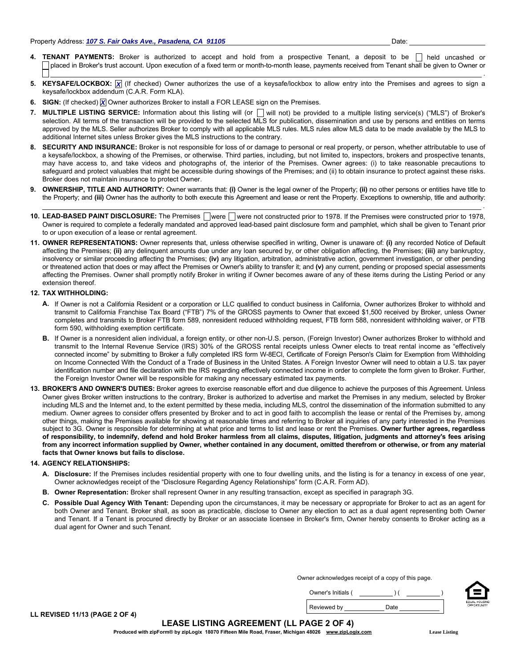- **TENANT PAYMENTS:** Broker is authorized to accept and hold from a prospective Tenant, a deposit to be  $\Box$  held uncashed or placed in Broker's trust account. Upon execution of a fixed term or month-to-month lease, payments received from Tenant shall be given to Owner or .
- 5. KEYSAFE/LOCKBOX:  $[X]$  (If checked) Owner authorizes the use of a keysafe/lockbox to allow entry into the Premises and agrees to sign a keysafe/lockbox addendum (C.A.R. Form KLA).
- 6. SIGN: (If checked) | x Owner authorizes Broker to install a FOR LEASE sign on the Premises.
- 7. MULTIPLE LISTING SERVICE: Information about this listing will (or  $\Box$  will not) be provided to a multiple listing service(s) ("MLS") of Broker's selection. All terms of the transaction will be provided to the selected MLS for publication, dissemination and use by persons and entities on terms approved by the MLS. Seller authorizes Broker to comply with all applicable MLS rules. MLS rules allow MLS data to be made available by the MLS to additional Internet sites unless Broker gives the MLS instructions to the contrary.
- 8. SECURITY AND INSURANCE: Broker is not responsible for loss of or damage to personal or real property, or person, whether attributable to use of a keysafe/lockbox, a showing of the Premises, or otherwise. Third parties, including, but not limited to, inspectors, brokers and prospective tenants, may have access to, and take videos and photographs of, the interior of the Premises. Owner agrees: (i) to take reasonable precautions to safeguard and protect valuables that might be accessible during showings of the Premises; and (ii) to obtain insurance to protect against these risks. Broker does not maintain insurance to protect Owner.
- 9. OWNERSHIP, TITLE AND AUTHORITY: Owner warrants that: (i) Owner is the legal owner of the Property; (ii) no other persons or entities have title to the Property; and (iii) Owner has the authority to both execute this Agreement and lease or rent the Property. Exceptions to ownership, title and authority:
- 10. LEAD-BASED PAINT DISCLOSURE: The Premises Were Were not constructed prior to 1978. If the Premises were constructed prior to 1978, Owner is required to complete a federally mandated and approved lead-based paint disclosure form and pamphlet, which shall be given to Tenant prior to or upon execution of a lease or rental agreement.
- 11. OWNER REPRESENTATIONS: Owner represents that, unless otherwise specified in writing. Owner is unaware of: (i) any recorded Notice of Default affecting the Premises; (ii) any delinquent amounts due under any loan secured by, or other obligation affecting, the Premises; (iii) any bankruptcy, insolvency or similar proceeding affecting the Premises; (iv) any litigation, arbitration, administrative action, government investigation, or other pending or threatened action that does or may affect the Premises or Owner's ability to transfer it; and (v) any current, pending or proposed special assessments affecting the Premises. Owner shall promptly notify Broker in writing if Owner becomes aware of any of these items during the Listing Period or any extension thereof.

## 12. TAX WITHHOLDING:

- A. If Owner is not a California Resident or a corporation or LLC qualified to conduct business in California, Owner authorizes Broker to withhold and transmit to California Franchise Tax Board ("FTB") 7% of the GROSS payments to Owner that exceed \$1,500 received by Broker, unless Owner completes and transmits to Broker FTB form 589, nonresident reduced withholding request, FTB form 588, nonresident withholding waiver, or FTB form 590, withholding exemption certificate.
- B. If Owner is a nonresident alien individual, a foreign entity, or other non-U.S. person, (Foreign Investor) Owner authorizes Broker to withhold and transmit to the Internal Revenue Service (IRS) 30% of the GROSS rental receipts unless Owner elects to treat rental income as "effectively connected income" by submitting to Broker a fully completed IRS form W-8ECI, Certificate of Foreign Person's Claim for Exemption from Withholding on Income Connected With the Conduct of a Trade of Business in the United States. A Foreign Investor Owner will need to obtain a U.S. tax payer identification number and file declaration with the IRS regarding effectively connected income in order to complete the form given to Broker. Further, the Foreign Investor Owner will be responsible for making any necessary estimated tax payments.
- 13. BROKER'S AND OWNER'S DUTIES: Broker agrees to exercise reasonable effort and due diligence to achieve the purposes of this Agreement. Unless Owner gives Broker written instructions to the contrary, Broker is authorized to advertise and market the Premises in any medium, selected by Broker including MLS and the Internet and, to the extent permitted by these media, including MLS, control the dissemination of the information submitted to any medium. Owner agrees to consider offers presented by Broker and to act in good faith to accomplish the lease or rental of the Premises by, among other things, making the Premises available for showing at reasonable times and referring to Broker all inquiries of any party interested in the Premises subject to 3G. Owner is responsible for determining at what price and terms to list and lease or rent the Premises. Owner further agrees, regardless of responsibility, to indemnify, defend and hold Broker harmless from all claims, disputes, litigation, judgments and attorney's fees arising from any incorrect information supplied by Owner, whether contained in any document, omitted therefrom or otherwise, or from any material facts that Owner knows but fails to disclose.

## 14. AGENCY RELATIONSHIPS:

- A. Disclosure: If the Premises includes residential property with one to four dwelling units, and the listing is for a tenancy in excess of one year, Owner acknowledges receipt of the "Disclosure Regarding Agency Relationships" form (C.A.R. Form AD).
- B. Owner Representation: Broker shall represent Owner in any resulting transaction, except as specified in paragraph 3G.
- C. Possible Dual Agency With Tenant: Depending upon the circumstances, it may be necessary or appropriate for Broker to act as an agent for both Owner and Tenant. Broker shall, as soon as practicable, disclose to Owner any election to act as a dual agent representing both Owner and Tenant. If a Tenant is procured directly by Broker or an associate licensee in Broker's firm, Owner hereby consents to Broker acting as a dual agent for Owner and such Tenant.

Owner acknowledges receipt of a copy of this page.

Owner's Initials ( ) (

| EOUAL HOUSING<br>PORTUNITY |  |  |  |  |
|----------------------------|--|--|--|--|

.

Reviewed by Date

LL REVISED 11/13 (PAGE 2 OF 4)

LEASE LISTING AGREEMENT (LL PAGE 2 OF 4)

Produced with zipForm® by zipLogix 18070 Fifteen Mile Road, Fraser, Michigan 48026 www.zipLogix.com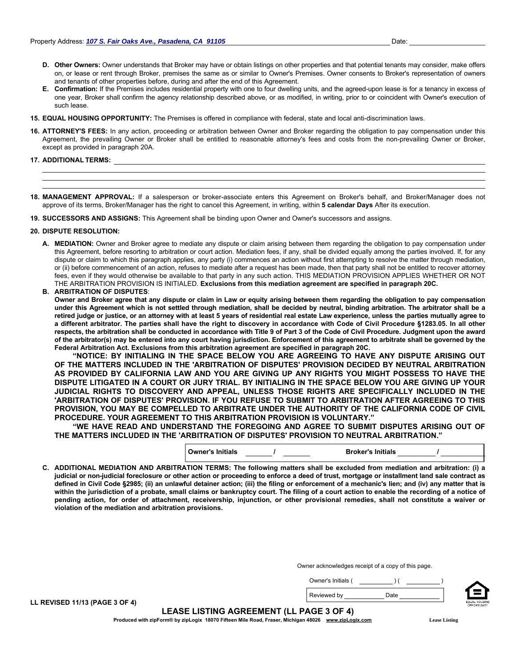- D. Other Owners: Owner understands that Broker may have or obtain listings on other properties and that potential tenants may consider, make offers on, or lease or rent through Broker, premises the same as or similar to Owner's Premises. Owner consents to Broker's representation of owners and tenants of other properties before, during and after the end of this Agreement.
- E. Confirmation: If the Premises includes residential property with one to four dwelling units, and the agreed-upon lease is for a tenancy in excess of one year, Broker shall confirm the agency relationship described above, or as modified, in writing, prior to or coincident with Owner's execution of such lease.
- 15. EQUAL HOUSING OPPORTUNITY: The Premises is offered in compliance with federal, state and local anti-discrimination laws.
- 16. ATTORNEY'S FEES: In any action, proceeding or arbitration between Owner and Broker regarding the obligation to pay compensation under this Agreement, the prevailing Owner or Broker shall be entitled to reasonable attorney's fees and costs from the non-prevailing Owner or Broker, except as provided in paragraph 20A.

#### 17. ADDITIONAL TERMS:

18. MANAGEMENT APPROVAL: If a salesperson or broker-associate enters this Agreement on Broker's behalf, and Broker/Manager does not approve of its terms, Broker/Manager has the right to cancel this Agreement, in writing, within 5 calendar Days After its execution.

19. SUCCESSORS AND ASSIGNS: This Agreement shall be binding upon Owner and Owner's successors and assigns.

## 20. DISPUTE RESOLUTION:

A. MEDIATION: Owner and Broker agree to mediate any dispute or claim arising between them regarding the obligation to pay compensation under this Agreement, before resorting to arbitration or court action. Mediation fees, if any, shall be divided equally among the parties involved. If, for any dispute or claim to which this paragraph applies, any party (i) commences an action without first attempting to resolve the matter through mediation, or (ii) before commencement of an action, refuses to mediate after a request has been made, then that party shall not be entitled to recover attorney fees, even if they would otherwise be available to that party in any such action. THIS MEDIATION PROVISION APPLIES WHETHER OR NOT THE ARBITRATION PROVISION IS INITIALED. Exclusions from this mediation agreement are specified in paragraph 20C.

### B. ARBITRATION OF DISPUTES:

Owner and Broker agree that any dispute or claim in Law or equity arising between them regarding the obligation to pay compensation under this Agreement which is not settled through mediation, shall be decided by neutral, binding arbitration. The arbitrator shall be a retired judge or justice, or an attorney with at least 5 years of residential real estate Law experience, unless the parties mutually agree to a different arbitrator. The parties shall have the right to discovery in accordance with Code of Civil Procedure §1283.05. In all other respects, the arbitration shall be conducted in accordance with Title 9 of Part 3 of the Code of Civil Procedure. Judgment upon the award of the arbitrator(s) may be entered into any court having jurisdiction. Enforcement of this agreement to arbitrate shall be governed by the Federal Arbitration Act. Exclusions from this arbitration agreement are specified in paragraph 20C.

"NOTICE: BY INITIALING IN THE SPACE BELOW YOU ARE AGREEING TO HAVE ANY DISPUTE ARISING OUT OF THE MATTERS INCLUDED IN THE 'ARBITRATION OF DISPUTES' PROVISION DECIDED BY NEUTRAL ARBITRATION AS PROVIDED BY CALIFORNIA LAW AND YOU ARE GIVING UP ANY RIGHTS YOU MIGHT POSSESS TO HAVE THE DISPUTE LITIGATED IN A COURT OR JURY TRIAL. BY INITIALING IN THE SPACE BELOW YOU ARE GIVING UP YOUR JUDICIAL RIGHTS TO DISCOVERY AND APPEAL, UNLESS THOSE RIGHTS ARE SPECIFICALLY INCLUDED IN THE 'ARBITRATION OF DISPUTES' PROVISION. IF YOU REFUSE TO SUBMIT TO ARBITRATION AFTER AGREEING TO THIS PROVISION, YOU MAY BE COMPELLED TO ARBITRATE UNDER THE AUTHORITY OF THE CALIFORNIA CODE OF CIVIL PROCEDURE. YOUR AGREEMENT TO THIS ARBITRATION PROVISION IS VOLUNTARY."

"WE HAVE READ AND UNDERSTAND THE FOREGOING AND AGREE TO SUBMIT DISPUTES ARISING OUT OF THE MATTERS INCLUDED IN THE 'ARBITRATION OF DISPUTES' PROVISION TO NEUTRAL ARBITRATION."

Owner's Initials / Communication / Broker's Initials / Communication / Communication / Communication / Communication /

Owner's Initials ( ) ( )

C. ADDITIONAL MEDIATION AND ARBITRATION TERMS: The following matters shall be excluded from mediation and arbitration: (i) a judicial or non-judicial foreclosure or other action or proceeding to enforce a deed of trust, mortgage or installment land sale contract as defined in Civil Code §2985; (ii) an unlawful detainer action; (iii) the filing or enforcement of a mechanic's lien; and (iv) any matter that is within the jurisdiction of a probate, small claims or bankruptcy court. The filing of a court action to enable the recording of a notice of pending action, for order of attachment, receivership, injunction, or other provisional remedies, shall not constitute a waiver or violation of the mediation and arbitration provisions.

Owner acknowledges receipt of a copy of this page.

| OWNER STIRRING |  |
|----------------|--|
| Reviewed by    |  |



LL REVISED 11/13 (PAGE 3 OF 4)

LEASE LISTING AGREEMENT (LL PAGE 3 OF 4)

Produced with zipForm® by zipLogix 18070 Fifteen Mile Road, Fraser, Michigan 48026 www.zipLogix.com

**Lease Listing**